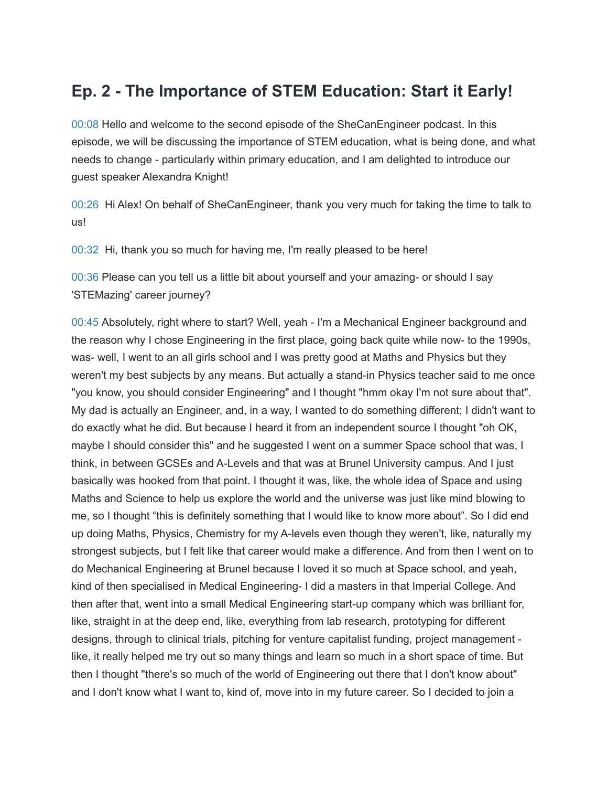## **Ep. 2 - The Importance of STEM Education: Start it Early!**

00:08 Hello and welcome to the second episode of the SheCanEngineer podcast. In this episode, we will be discussing the importance of STEM education, what is being done, and what needs to change - particularly within primary education, and I am delighted to introduce our guest speaker Alexandra Knight!

00:26 Hi Alex! On behalf of SheCanEngineer, thank you very much for taking the time to talk to us!

00:32 Hi, thank you so much for having me, I'm really pleased to be here!

00:36 Please can you tell us a little bit about yourself and your amazing- or should I say 'STEMazing' career journey?

00:45 Absolutely, right where to start? Well, yeah - I'm a Mechanical Engineer background and the reason why I chose Engineering in the first place, going back quite while now- to the 1990s, was- well, I went to an all girls school and I was pretty good at Maths and Physics but they weren't my best subjects by any means. But actually a stand-in Physics teacher said to me once "you know, you should consider Engineering" and I thought "hmm okay I'm not sure about that". My dad is actually an Engineer, and, in a way, I wanted to do something different; I didn't want to do exactly what he did. But because I heard it from an independent source I thought "oh OK, maybe I should consider this" and he suggested I went on a summer Space school that was, I think, in between GCSEs and A-Levels and that was at Brunel University campus. And I just basically was hooked from that point. I thought it was, like, the whole idea of Space and using Maths and Science to help us explore the world and the universe was just like mind blowing to me, so I thought "this is definitely something that I would like to know more about". So I did end up doing Maths, Physics, Chemistry for my A-levels even though they weren't, like, naturally my strongest subjects, but I felt like that career would make a difference. And from then I went on to do Mechanical Engineering at Brunel because I loved it so much at Space school, and yeah, kind of then specialised in Medical Engineering- I did a masters in that Imperial College. And then after that, went into a small Medical Engineering start-up company which was brilliant for, like, straight in at the deep end, like, everything from lab research, prototyping for different designs, through to clinical trials, pitching for venture capitalist funding, project management like, it really helped me try out so many things and learn so much in a short space of time. But then I thought "there's so much of the world of Engineering out there that I don't know about" and I don't know what I want to, kind of, move into in my future career. So I decided to join a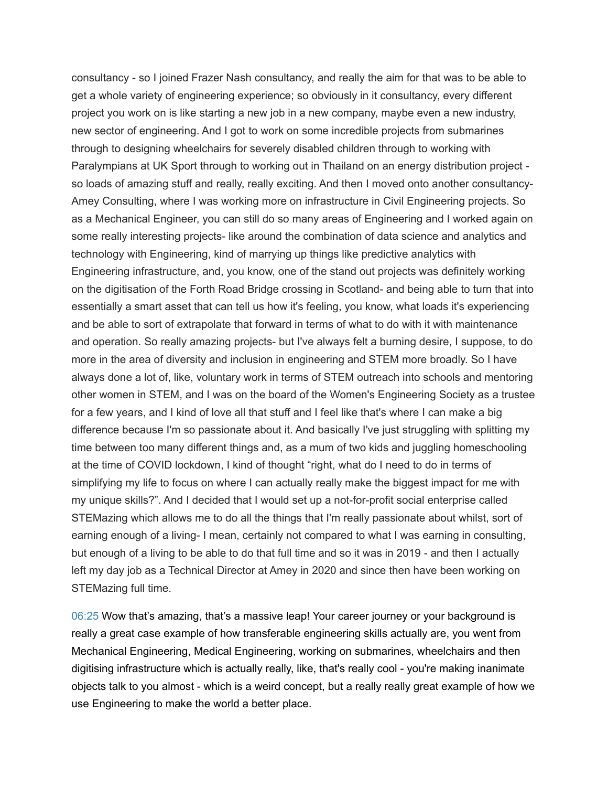consultancy - so I joined Frazer Nash consultancy, and really the aim for that was to be able to get a whole variety of engineering experience; so obviously in it consultancy, every different project you work on is like starting a new job in a new company, maybe even a new industry, new sector of engineering. And I got to work on some incredible projects from submarines through to designing wheelchairs for severely disabled children through to working with Paralympians at UK Sport through to working out in Thailand on an energy distribution project so loads of amazing stuff and really, really exciting. And then I moved onto another consultancy-Amey Consulting, where I was working more on infrastructure in Civil Engineering projects. So as a Mechanical Engineer, you can still do so many areas of Engineering and I worked again on some really interesting projects- like around the combination of data science and analytics and technology with Engineering, kind of marrying up things like predictive analytics with Engineering infrastructure, and, you know, one of the stand out projects was definitely working on the digitisation of the Forth Road Bridge crossing in Scotland- and being able to turn that into essentially a smart asset that can tell us how it's feeling, you know, what loads it's experiencing and be able to sort of extrapolate that forward in terms of what to do with it with maintenance and operation. So really amazing projects- but I've always felt a burning desire, I suppose, to do more in the area of diversity and inclusion in engineering and STEM more broadly. So I have always done a lot of, like, voluntary work in terms of STEM outreach into schools and mentoring other women in STEM, and I was on the board of the Women's Engineering Society as a trustee for a few years, and I kind of love all that stuff and I feel like that's where I can make a big difference because I'm so passionate about it. And basically I've just struggling with splitting my time between too many different things and, as a mum of two kids and juggling homeschooling at the time of COVID lockdown, I kind of thought "right, what do I need to do in terms of simplifying my life to focus on where I can actually really make the biggest impact for me with my unique skills?". And I decided that I would set up a not-for-profit social enterprise called STEMazing which allows me to do all the things that I'm really passionate about whilst, sort of earning enough of a living- I mean, certainly not compared to what I was earning in consulting, but enough of a living to be able to do that full time and so it was in 2019 - and then I actually left my day job as a Technical Director at Amey in 2020 and since then have been working on STEMazing full time.

06:25 Wow that's amazing, that's a massive leap! Your career journey or your background is really a great case example of how transferable engineering skills actually are, you went from Mechanical Engineering, Medical Engineering, working on submarines, wheelchairs and then digitising infrastructure which is actually really, like, that's really cool - you're making inanimate objects talk to you almost - which is a weird concept, but a really really great example of how we use Engineering to make the world a better place.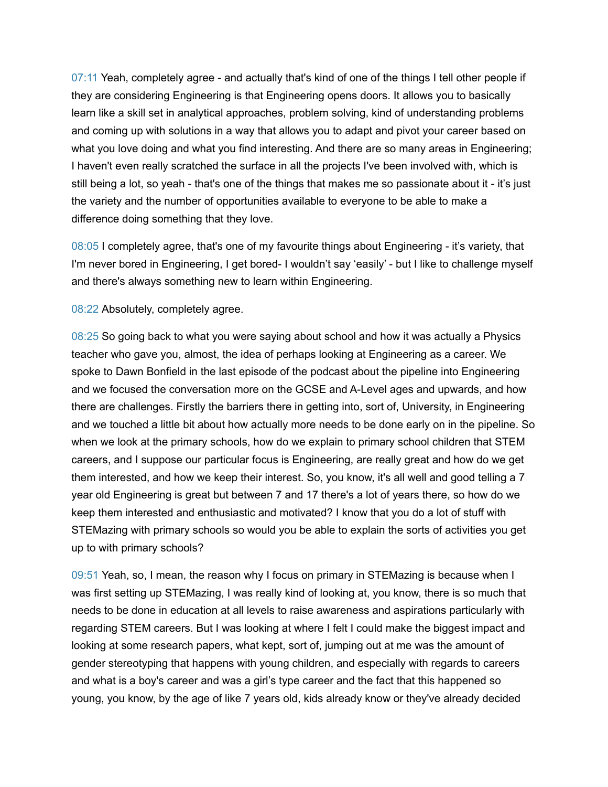07:11 Yeah, completely agree - and actually that's kind of one of the things I tell other people if they are considering Engineering is that Engineering opens doors. It allows you to basically learn like a skill set in analytical approaches, problem solving, kind of understanding problems and coming up with solutions in a way that allows you to adapt and pivot your career based on what you love doing and what you find interesting. And there are so many areas in Engineering; I haven't even really scratched the surface in all the projects I've been involved with, which is still being a lot, so yeah - that's one of the things that makes me so passionate about it - it's just the variety and the number of opportunities available to everyone to be able to make a difference doing something that they love.

08:05 I completely agree, that's one of my favourite things about Engineering - it's variety, that I'm never bored in Engineering, I get bored- I wouldn't say 'easily' - but I like to challenge myself and there's always something new to learn within Engineering.

08:22 Absolutely, completely agree.

08:25 So going back to what you were saying about school and how it was actually a Physics teacher who gave you, almost, the idea of perhaps looking at Engineering as a career. We spoke to Dawn Bonfield in the last episode of the podcast about the pipeline into Engineering and we focused the conversation more on the GCSE and A-Level ages and upwards, and how there are challenges. Firstly the barriers there in getting into, sort of, University, in Engineering and we touched a little bit about how actually more needs to be done early on in the pipeline. So when we look at the primary schools, how do we explain to primary school children that STEM careers, and I suppose our particular focus is Engineering, are really great and how do we get them interested, and how we keep their interest. So, you know, it's all well and good telling a 7 year old Engineering is great but between 7 and 17 there's a lot of years there, so how do we keep them interested and enthusiastic and motivated? I know that you do a lot of stuff with STEMazing with primary schools so would you be able to explain the sorts of activities you get up to with primary schools?

09:51 Yeah, so, I mean, the reason why I focus on primary in STEMazing is because when I was first setting up STEMazing, I was really kind of looking at, you know, there is so much that needs to be done in education at all levels to raise awareness and aspirations particularly with regarding STEM careers. But I was looking at where I felt I could make the biggest impact and looking at some research papers, what kept, sort of, jumping out at me was the amount of gender stereotyping that happens with young children, and especially with regards to careers and what is a boy's career and was a girl's type career and the fact that this happened so young, you know, by the age of like 7 years old, kids already know or they've already decided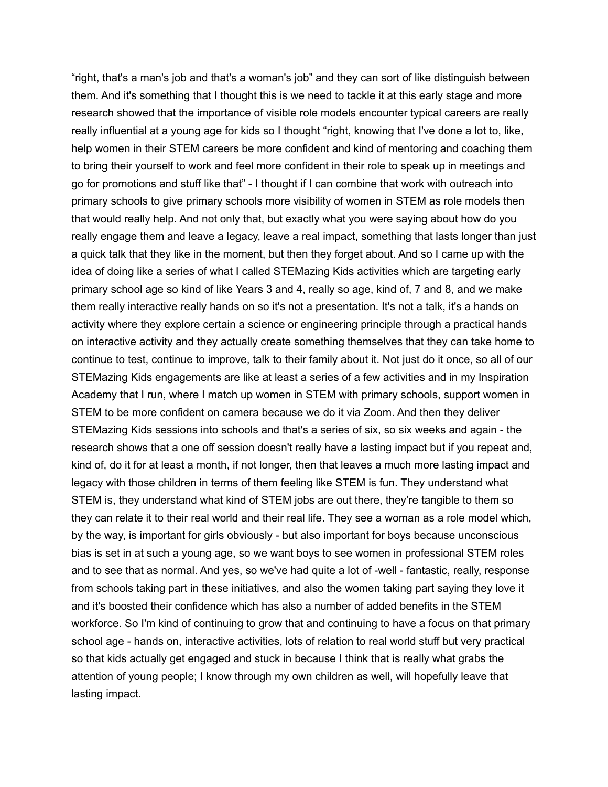"right, that's a man's job and that's a woman's job" and they can sort of like distinguish between them. And it's something that I thought this is we need to tackle it at this early stage and more research showed that the importance of visible role models encounter typical careers are really really influential at a young age for kids so I thought "right, knowing that I've done a lot to, like, help women in their STEM careers be more confident and kind of mentoring and coaching them to bring their yourself to work and feel more confident in their role to speak up in meetings and go for promotions and stuff like that" - I thought if I can combine that work with outreach into primary schools to give primary schools more visibility of women in STEM as role models then that would really help. And not only that, but exactly what you were saying about how do you really engage them and leave a legacy, leave a real impact, something that lasts longer than just a quick talk that they like in the moment, but then they forget about. And so I came up with the idea of doing like a series of what I called STEMazing Kids activities which are targeting early primary school age so kind of like Years 3 and 4, really so age, kind of, 7 and 8, and we make them really interactive really hands on so it's not a presentation. It's not a talk, it's a hands on activity where they explore certain a science or engineering principle through a practical hands on interactive activity and they actually create something themselves that they can take home to continue to test, continue to improve, talk to their family about it. Not just do it once, so all of our STEMazing Kids engagements are like at least a series of a few activities and in my Inspiration Academy that I run, where I match up women in STEM with primary schools, support women in STEM to be more confident on camera because we do it via Zoom. And then they deliver STEMazing Kids sessions into schools and that's a series of six, so six weeks and again - the research shows that a one off session doesn't really have a lasting impact but if you repeat and, kind of, do it for at least a month, if not longer, then that leaves a much more lasting impact and legacy with those children in terms of them feeling like STEM is fun. They understand what STEM is, they understand what kind of STEM jobs are out there, they're tangible to them so they can relate it to their real world and their real life. They see a woman as a role model which, by the way, is important for girls obviously - but also important for boys because unconscious bias is set in at such a young age, so we want boys to see women in professional STEM roles and to see that as normal. And yes, so we've had quite a lot of -well - fantastic, really, response from schools taking part in these initiatives, and also the women taking part saying they love it and it's boosted their confidence which has also a number of added benefits in the STEM workforce. So I'm kind of continuing to grow that and continuing to have a focus on that primary school age - hands on, interactive activities, lots of relation to real world stuff but very practical so that kids actually get engaged and stuck in because I think that is really what grabs the attention of young people; I know through my own children as well, will hopefully leave that lasting impact.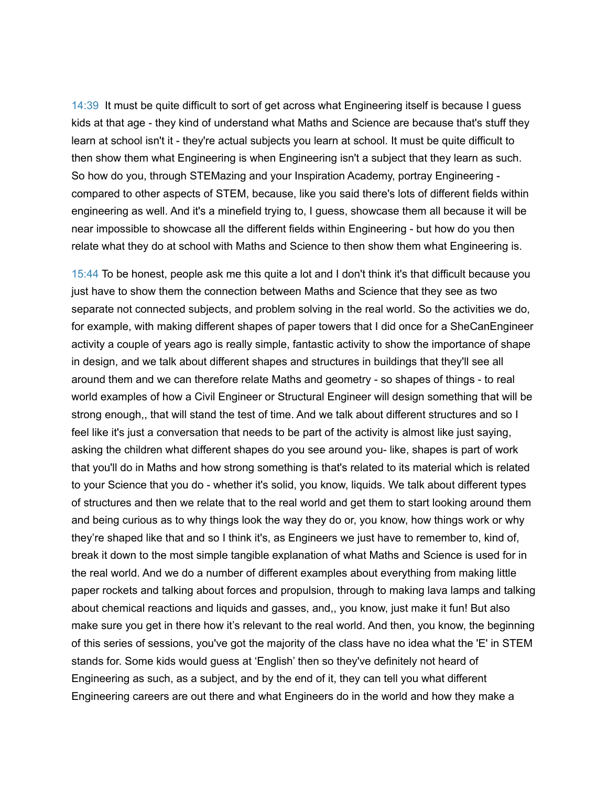14:39 It must be quite difficult to sort of get across what Engineering itself is because I guess kids at that age - they kind of understand what Maths and Science are because that's stuff they learn at school isn't it - they're actual subjects you learn at school. It must be quite difficult to then show them what Engineering is when Engineering isn't a subject that they learn as such. So how do you, through STEMazing and your Inspiration Academy, portray Engineering compared to other aspects of STEM, because, like you said there's lots of different fields within engineering as well. And it's a minefield trying to, I guess, showcase them all because it will be near impossible to showcase all the different fields within Engineering - but how do you then relate what they do at school with Maths and Science to then show them what Engineering is.

15:44 To be honest, people ask me this quite a lot and I don't think it's that difficult because you just have to show them the connection between Maths and Science that they see as two separate not connected subjects, and problem solving in the real world. So the activities we do, for example, with making different shapes of paper towers that I did once for a SheCanEngineer activity a couple of years ago is really simple, fantastic activity to show the importance of shape in design, and we talk about different shapes and structures in buildings that they'll see all around them and we can therefore relate Maths and geometry - so shapes of things - to real world examples of how a Civil Engineer or Structural Engineer will design something that will be strong enough,, that will stand the test of time. And we talk about different structures and so I feel like it's just a conversation that needs to be part of the activity is almost like just saying, asking the children what different shapes do you see around you- like, shapes is part of work that you'll do in Maths and how strong something is that's related to its material which is related to your Science that you do - whether it's solid, you know, liquids. We talk about different types of structures and then we relate that to the real world and get them to start looking around them and being curious as to why things look the way they do or, you know, how things work or why they're shaped like that and so I think it's, as Engineers we just have to remember to, kind of, break it down to the most simple tangible explanation of what Maths and Science is used for in the real world. And we do a number of different examples about everything from making little paper rockets and talking about forces and propulsion, through to making lava lamps and talking about chemical reactions and liquids and gasses, and,, you know, just make it fun! But also make sure you get in there how it's relevant to the real world. And then, you know, the beginning of this series of sessions, you've got the majority of the class have no idea what the 'E' in STEM stands for. Some kids would guess at 'English' then so they've definitely not heard of Engineering as such, as a subject, and by the end of it, they can tell you what different Engineering careers are out there and what Engineers do in the world and how they make a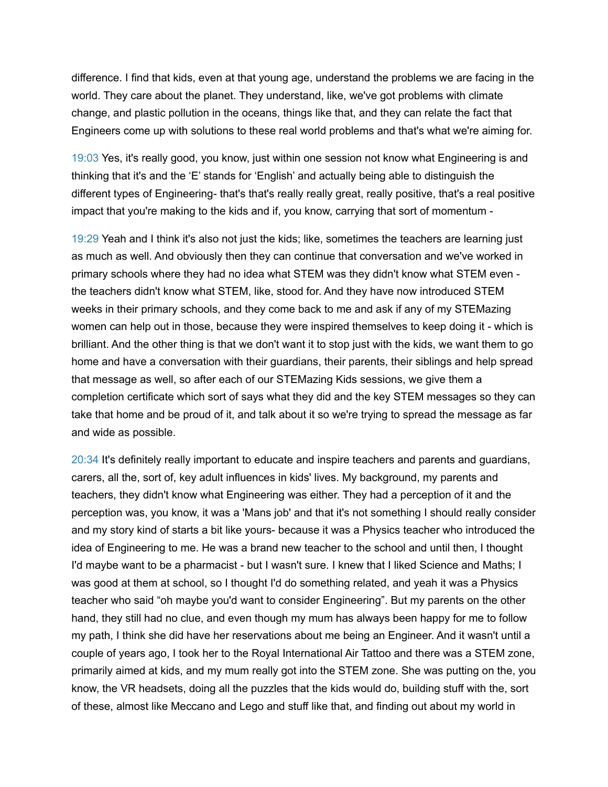difference. I find that kids, even at that young age, understand the problems we are facing in the world. They care about the planet. They understand, like, we've got problems with climate change, and plastic pollution in the oceans, things like that, and they can relate the fact that Engineers come up with solutions to these real world problems and that's what we're aiming for.

19:03 Yes, it's really good, you know, just within one session not know what Engineering is and thinking that it's and the 'E' stands for 'English' and actually being able to distinguish the different types of Engineering- that's that's really really great, really positive, that's a real positive impact that you're making to the kids and if, you know, carrying that sort of momentum -

19:29 Yeah and I think it's also not just the kids; like, sometimes the teachers are learning just as much as well. And obviously then they can continue that conversation and we've worked in primary schools where they had no idea what STEM was they didn't know what STEM even the teachers didn't know what STEM, like, stood for. And they have now introduced STEM weeks in their primary schools, and they come back to me and ask if any of my STEMazing women can help out in those, because they were inspired themselves to keep doing it - which is brilliant. And the other thing is that we don't want it to stop just with the kids, we want them to go home and have a conversation with their guardians, their parents, their siblings and help spread that message as well, so after each of our STEMazing Kids sessions, we give them a completion certificate which sort of says what they did and the key STEM messages so they can take that home and be proud of it, and talk about it so we're trying to spread the message as far and wide as possible.

20:34 It's definitely really important to educate and inspire teachers and parents and guardians, carers, all the, sort of, key adult influences in kids' lives. My background, my parents and teachers, they didn't know what Engineering was either. They had a perception of it and the perception was, you know, it was a 'Mans job' and that it's not something I should really consider and my story kind of starts a bit like yours- because it was a Physics teacher who introduced the idea of Engineering to me. He was a brand new teacher to the school and until then, I thought I'd maybe want to be a pharmacist - but I wasn't sure. I knew that I liked Science and Maths; I was good at them at school, so I thought I'd do something related, and yeah it was a Physics teacher who said "oh maybe you'd want to consider Engineering". But my parents on the other hand, they still had no clue, and even though my mum has always been happy for me to follow my path, I think she did have her reservations about me being an Engineer. And it wasn't until a couple of years ago, I took her to the Royal International Air Tattoo and there was a STEM zone, primarily aimed at kids, and my mum really got into the STEM zone. She was putting on the, you know, the VR headsets, doing all the puzzles that the kids would do, building stuff with the, sort of these, almost like Meccano and Lego and stuff like that, and finding out about my world in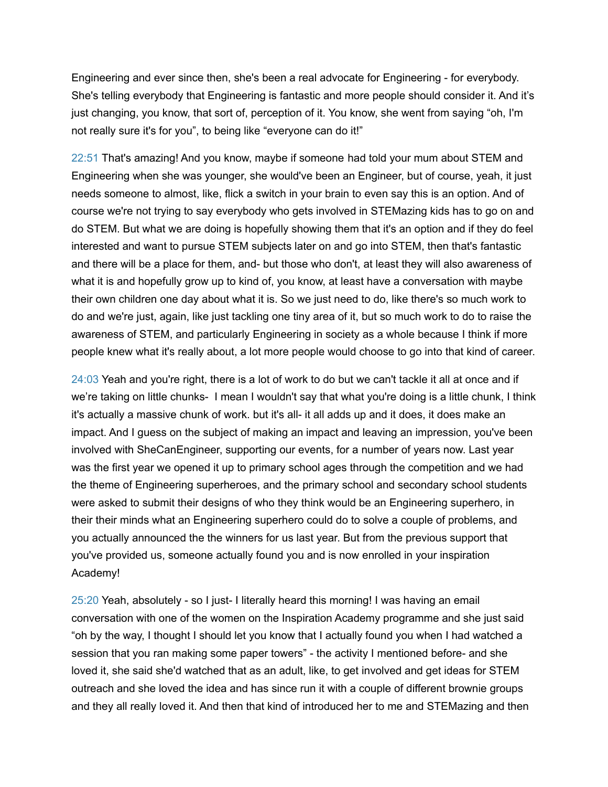Engineering and ever since then, she's been a real advocate for Engineering - for everybody. She's telling everybody that Engineering is fantastic and more people should consider it. And it's just changing, you know, that sort of, perception of it. You know, she went from saying "oh, I'm not really sure it's for you", to being like "everyone can do it!"

22:51 That's amazing! And you know, maybe if someone had told your mum about STEM and Engineering when she was younger, she would've been an Engineer, but of course, yeah, it just needs someone to almost, like, flick a switch in your brain to even say this is an option. And of course we're not trying to say everybody who gets involved in STEMazing kids has to go on and do STEM. But what we are doing is hopefully showing them that it's an option and if they do feel interested and want to pursue STEM subjects later on and go into STEM, then that's fantastic and there will be a place for them, and- but those who don't, at least they will also awareness of what it is and hopefully grow up to kind of, you know, at least have a conversation with maybe their own children one day about what it is. So we just need to do, like there's so much work to do and we're just, again, like just tackling one tiny area of it, but so much work to do to raise the awareness of STEM, and particularly Engineering in society as a whole because I think if more people knew what it's really about, a lot more people would choose to go into that kind of career.

24:03 Yeah and you're right, there is a lot of work to do but we can't tackle it all at once and if we're taking on little chunks- I mean I wouldn't say that what you're doing is a little chunk, I think it's actually a massive chunk of work. but it's all- it all adds up and it does, it does make an impact. And I guess on the subject of making an impact and leaving an impression, you've been involved with SheCanEngineer, supporting our events, for a number of years now. Last year was the first year we opened it up to primary school ages through the competition and we had the theme of Engineering superheroes, and the primary school and secondary school students were asked to submit their designs of who they think would be an Engineering superhero, in their their minds what an Engineering superhero could do to solve a couple of problems, and you actually announced the the winners for us last year. But from the previous support that you've provided us, someone actually found you and is now enrolled in your inspiration Academy!

25:20 Yeah, absolutely - so I just- I literally heard this morning! I was having an email conversation with one of the women on the Inspiration Academy programme and she just said "oh by the way, I thought I should let you know that I actually found you when I had watched a session that you ran making some paper towers" - the activity I mentioned before- and she loved it, she said she'd watched that as an adult, like, to get involved and get ideas for STEM outreach and she loved the idea and has since run it with a couple of different brownie groups and they all really loved it. And then that kind of introduced her to me and STEMazing and then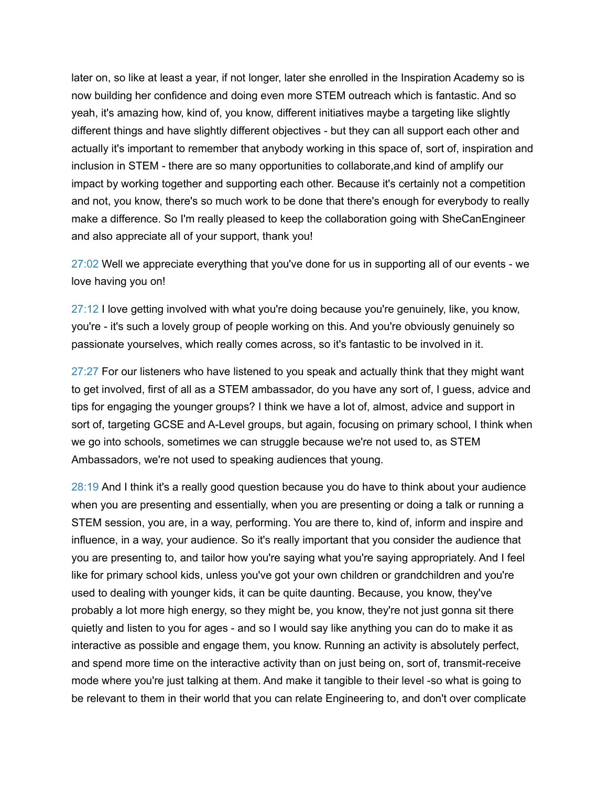later on, so like at least a year, if not longer, later she enrolled in the Inspiration Academy so is now building her confidence and doing even more STEM outreach which is fantastic. And so yeah, it's amazing how, kind of, you know, different initiatives maybe a targeting like slightly different things and have slightly different objectives - but they can all support each other and actually it's important to remember that anybody working in this space of, sort of, inspiration and inclusion in STEM - there are so many opportunities to collaborate,and kind of amplify our impact by working together and supporting each other. Because it's certainly not a competition and not, you know, there's so much work to be done that there's enough for everybody to really make a difference. So I'm really pleased to keep the collaboration going with SheCanEngineer and also appreciate all of your support, thank you!

27:02 Well we appreciate everything that you've done for us in supporting all of our events - we love having you on!

27:12 I love getting involved with what you're doing because you're genuinely, like, you know, you're - it's such a lovely group of people working on this. And you're obviously genuinely so passionate yourselves, which really comes across, so it's fantastic to be involved in it.

27:27 For our listeners who have listened to you speak and actually think that they might want to get involved, first of all as a STEM ambassador, do you have any sort of, I guess, advice and tips for engaging the younger groups? I think we have a lot of, almost, advice and support in sort of, targeting GCSE and A-Level groups, but again, focusing on primary school, I think when we go into schools, sometimes we can struggle because we're not used to, as STEM Ambassadors, we're not used to speaking audiences that young.

28:19 And I think it's a really good question because you do have to think about your audience when you are presenting and essentially, when you are presenting or doing a talk or running a STEM session, you are, in a way, performing. You are there to, kind of, inform and inspire and influence, in a way, your audience. So it's really important that you consider the audience that you are presenting to, and tailor how you're saying what you're saying appropriately. And I feel like for primary school kids, unless you've got your own children or grandchildren and you're used to dealing with younger kids, it can be quite daunting. Because, you know, they've probably a lot more high energy, so they might be, you know, they're not just gonna sit there quietly and listen to you for ages - and so I would say like anything you can do to make it as interactive as possible and engage them, you know. Running an activity is absolutely perfect, and spend more time on the interactive activity than on just being on, sort of, transmit-receive mode where you're just talking at them. And make it tangible to their level -so what is going to be relevant to them in their world that you can relate Engineering to, and don't over complicate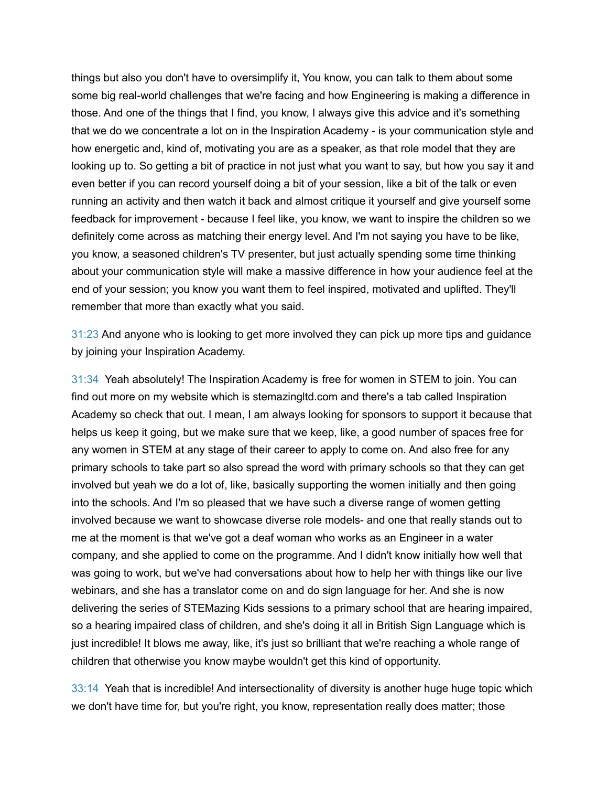things but also you don't have to oversimplify it, You know, you can talk to them about some some big real-world challenges that we're facing and how Engineering is making a difference in those. And one of the things that I find, you know, I always give this advice and it's something that we do we concentrate a lot on in the Inspiration Academy - is your communication style and how energetic and, kind of, motivating you are as a speaker, as that role model that they are looking up to. So getting a bit of practice in not just what you want to say, but how you say it and even better if you can record yourself doing a bit of your session, like a bit of the talk or even running an activity and then watch it back and almost critique it yourself and give yourself some feedback for improvement - because I feel like, you know, we want to inspire the children so we definitely come across as matching their energy level. And I'm not saying you have to be like, you know, a seasoned children's TV presenter, but just actually spending some time thinking about your communication style will make a massive difference in how your audience feel at the end of your session; you know you want them to feel inspired, motivated and uplifted. They'll remember that more than exactly what you said.

31:23 And anyone who is looking to get more involved they can pick up more tips and guidance by joining your Inspiration Academy.

31:34 Yeah absolutely! The Inspiration Academy is free for women in STEM to join. You can find out more on my website which is stemazingltd.com and there's a tab called Inspiration Academy so check that out. I mean, I am always looking for sponsors to support it because that helps us keep it going, but we make sure that we keep, like, a good number of spaces free for any women in STEM at any stage of their career to apply to come on. And also free for any primary schools to take part so also spread the word with primary schools so that they can get involved but yeah we do a lot of, like, basically supporting the women initially and then going into the schools. And I'm so pleased that we have such a diverse range of women getting involved because we want to showcase diverse role models- and one that really stands out to me at the moment is that we've got a deaf woman who works as an Engineer in a water company, and she applied to come on the programme. And I didn't know initially how well that was going to work, but we've had conversations about how to help her with things like our live webinars, and she has a translator come on and do sign language for her. And she is now delivering the series of STEMazing Kids sessions to a primary school that are hearing impaired, so a hearing impaired class of children, and she's doing it all in British Sign Language which is just incredible! It blows me away, like, it's just so brilliant that we're reaching a whole range of children that otherwise you know maybe wouldn't get this kind of opportunity.

33:14 Yeah that is incredible! And intersectionality of diversity is another huge huge topic which we don't have time for, but you're right, you know, representation really does matter; those